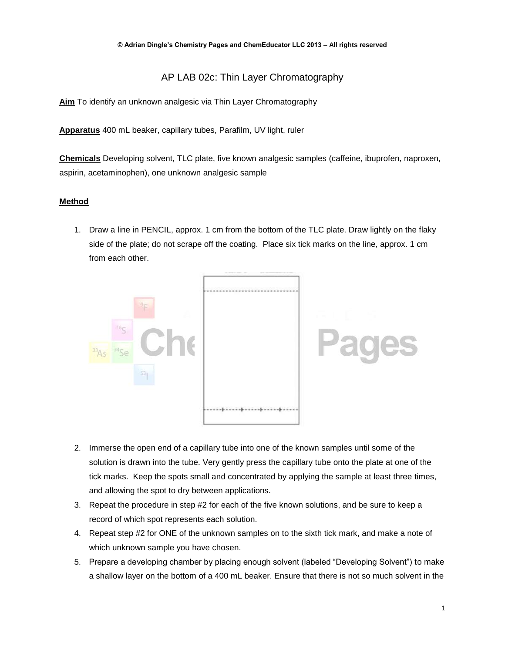## AP LAB 02c: Thin Layer Chromatography

**Aim** To identify an unknown analgesic via Thin Layer Chromatography

**Apparatus** 400 mL beaker, capillary tubes, Parafilm, UV light, ruler

**Chemicals** Developing solvent, TLC plate, five known analgesic samples (caffeine, ibuprofen, naproxen, aspirin, acetaminophen), one unknown analgesic sample

## **Method**

1. Draw a line in PENCIL, approx. 1 cm from the bottom of the TLC plate. Draw lightly on the flaky side of the plate; do not scrape off the coating. Place six tick marks on the line, approx. 1 cm from each other.



- 2. Immerse the open end of a capillary tube into one of the known samples until some of the solution is drawn into the tube. Very gently press the capillary tube onto the plate at one of the tick marks. Keep the spots small and concentrated by applying the sample at least three times, and allowing the spot to dry between applications.
- 3. Repeat the procedure in step #2 for each of the five known solutions, and be sure to keep a record of which spot represents each solution.
- 4. Repeat step #2 for ONE of the unknown samples on to the sixth tick mark, and make a note of which unknown sample you have chosen.
- 5. Prepare a developing chamber by placing enough solvent (labeled "Developing Solvent") to make a shallow layer on the bottom of a 400 mL beaker. Ensure that there is not so much solvent in the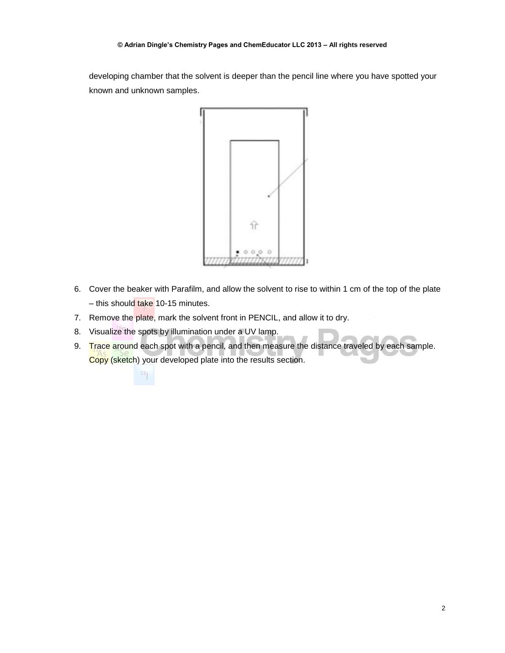developing chamber that the solvent is deeper than the pencil line where you have spotted your known and unknown samples.



- 6. Cover the beaker with Parafilm, and allow the solvent to rise to within 1 cm of the top of the plate – this should take 10-15 minutes.
- 7. Remove the plate, mark the solvent front in PENCIL, and allow it to dry.
- 8. Visualize the spots by illumination under a UV lamp.
- 9. Trace around each spot with a pencil, and then measure the distance traveled by each sample. Copy (sketch) your developed plate into the results section.

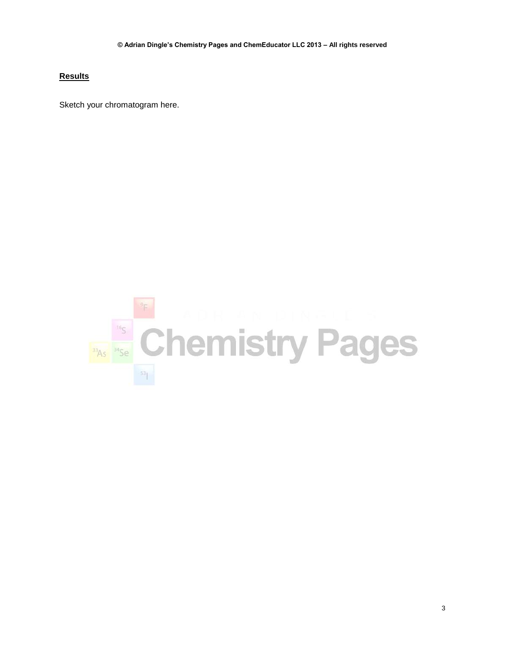## **Results**

Sketch your chromatogram here.

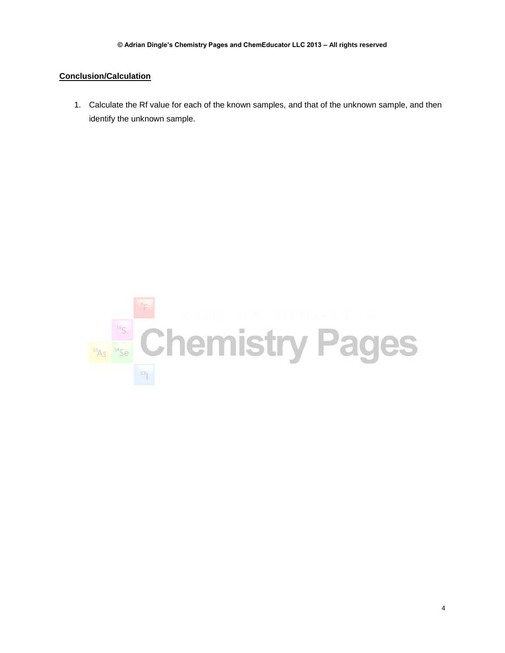## **Conclusion/Calculation**

1. Calculate the Rf value for each of the known samples, and that of the unknown sample, and then identify the unknown sample.